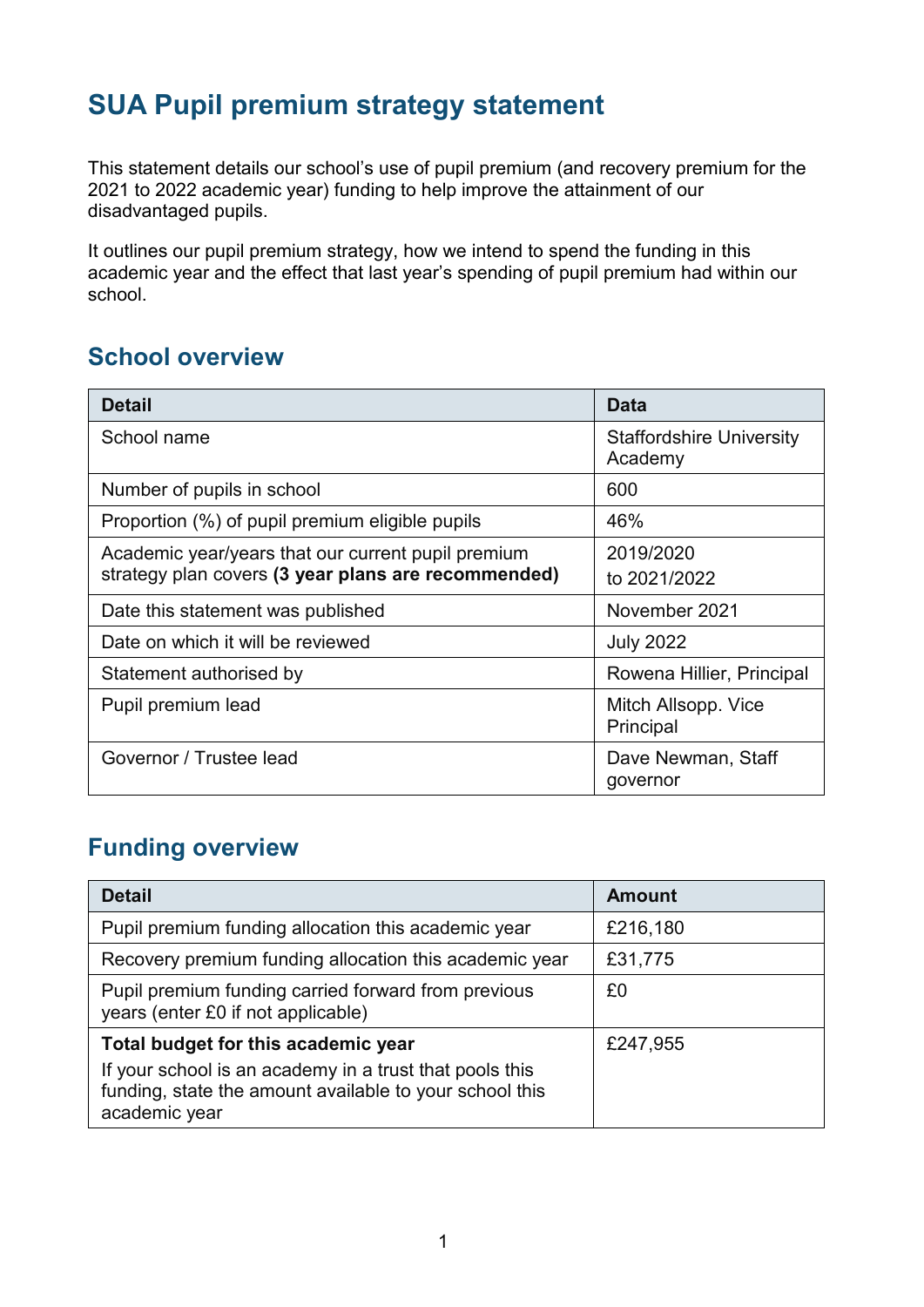## **SUA Pupil premium strategy statement**

This statement details our school's use of pupil premium (and recovery premium for the 2021 to 2022 academic year) funding to help improve the attainment of our disadvantaged pupils.

It outlines our pupil premium strategy, how we intend to spend the funding in this academic year and the effect that last year's spending of pupil premium had within our school.

#### **School overview**

| <b>Detail</b>                                       | Data                                       |
|-----------------------------------------------------|--------------------------------------------|
| School name                                         | <b>Staffordshire University</b><br>Academy |
| Number of pupils in school                          | 600                                        |
| Proportion (%) of pupil premium eligible pupils     | 46%                                        |
| Academic year/years that our current pupil premium  | 2019/2020                                  |
| strategy plan covers (3 year plans are recommended) | to 2021/2022                               |
| Date this statement was published                   | November 2021                              |
| Date on which it will be reviewed                   | <b>July 2022</b>                           |
| Statement authorised by                             | Rowena Hillier, Principal                  |
| Pupil premium lead                                  | Mitch Allsopp. Vice<br>Principal           |
| Governor / Trustee lead                             | Dave Newman, Staff<br>governor             |

### **Funding overview**

| <b>Detail</b>                                                                                                                                                              | <b>Amount</b> |
|----------------------------------------------------------------------------------------------------------------------------------------------------------------------------|---------------|
| Pupil premium funding allocation this academic year                                                                                                                        | £216,180      |
| Recovery premium funding allocation this academic year                                                                                                                     | £31,775       |
| Pupil premium funding carried forward from previous<br>years (enter £0 if not applicable)                                                                                  | £0            |
| Total budget for this academic year<br>If your school is an academy in a trust that pools this<br>funding, state the amount available to your school this<br>academic year | £247,955      |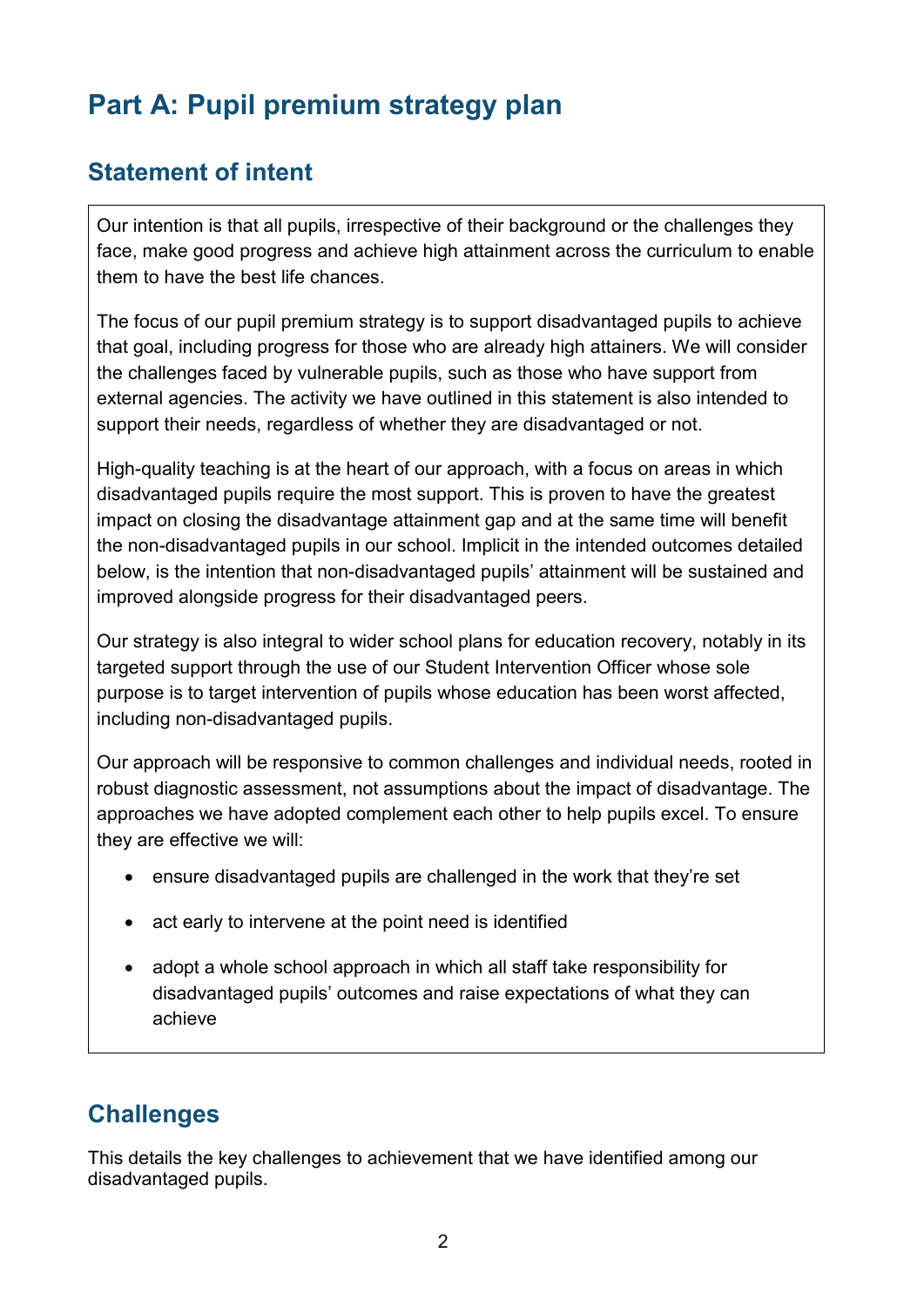# **Part A: Pupil premium strategy plan**

### **Statement of intent**

Our intention is that all pupils, irrespective of their background or the challenges they face, make good progress and achieve high attainment across the curriculum to enable them to have the best life chances.

The focus of our pupil premium strategy is to support disadvantaged pupils to achieve that goal, including progress for those who are already high attainers. We will consider the challenges faced by vulnerable pupils, such as those who have support from external agencies. The activity we have outlined in this statement is also intended to support their needs, regardless of whether they are disadvantaged or not.

High-quality teaching is at the heart of our approach, with a focus on areas in which disadvantaged pupils require the most support. This is proven to have the greatest impact on closing the disadvantage attainment gap and at the same time will benefit the non-disadvantaged pupils in our school. Implicit in the intended outcomes detailed below, is the intention that non-disadvantaged pupils' attainment will be sustained and improved alongside progress for their disadvantaged peers.

Our strategy is also integral to wider school plans for education recovery, notably in its targeted support through the use of our Student Intervention Officer whose sole purpose is to target intervention of pupils whose education has been worst affected, including non-disadvantaged pupils.

Our approach will be responsive to common challenges and individual needs, rooted in robust diagnostic assessment, not assumptions about the impact of disadvantage. The approaches we have adopted complement each other to help pupils excel. To ensure they are effective we will:

- ensure disadvantaged pupils are challenged in the work that they're set
- act early to intervene at the point need is identified
- adopt a whole school approach in which all staff take responsibility for disadvantaged pupils' outcomes and raise expectations of what they can achieve

## **Challenges**

This details the key challenges to achievement that we have identified among our disadvantaged pupils.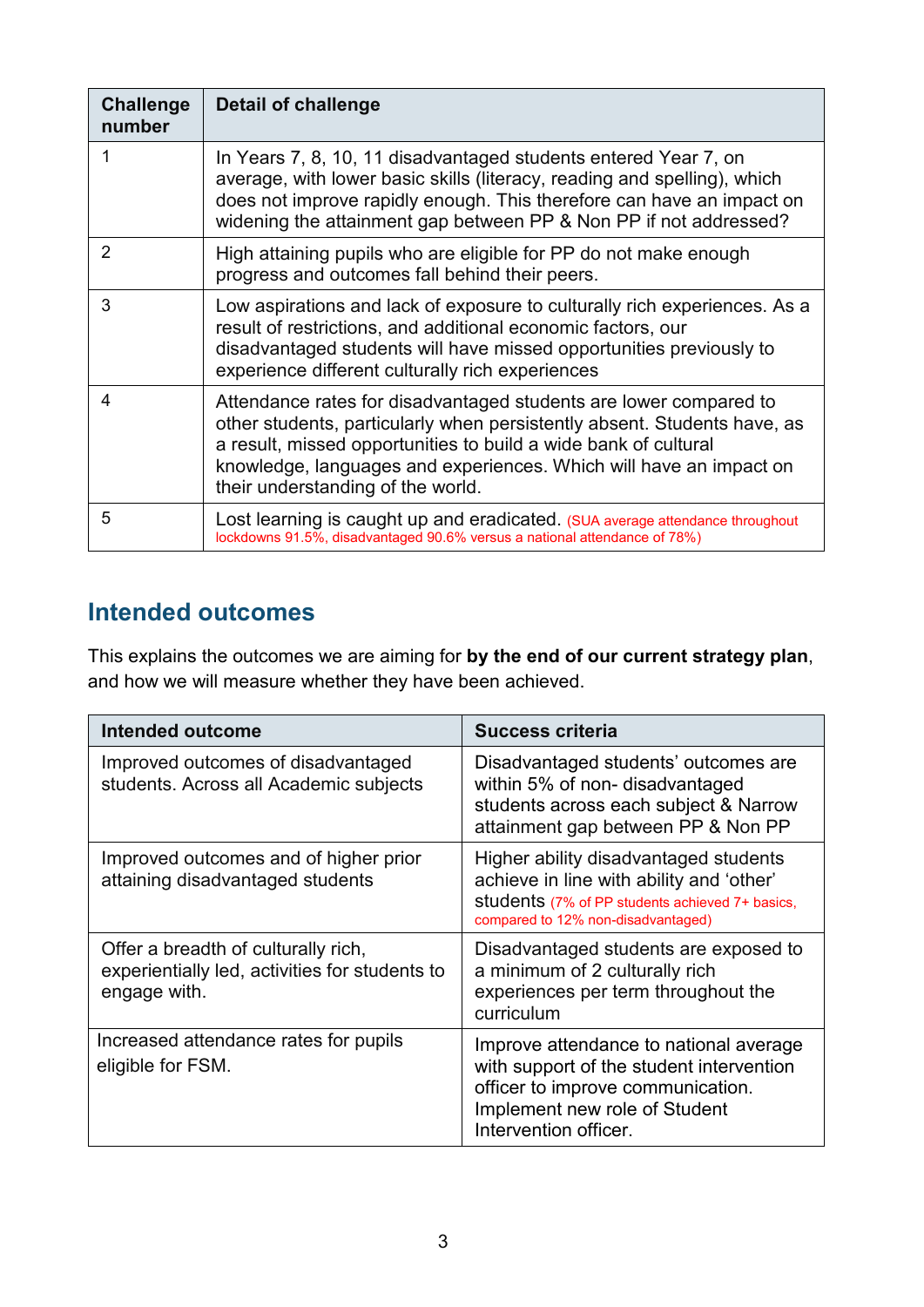| <b>Challenge</b><br>number | <b>Detail of challenge</b>                                                                                                                                                                                                                                                                                                  |
|----------------------------|-----------------------------------------------------------------------------------------------------------------------------------------------------------------------------------------------------------------------------------------------------------------------------------------------------------------------------|
|                            | In Years 7, 8, 10, 11 disadvantaged students entered Year 7, on<br>average, with lower basic skills (literacy, reading and spelling), which<br>does not improve rapidly enough. This therefore can have an impact on<br>widening the attainment gap between PP & Non PP if not addressed?                                   |
| 2                          | High attaining pupils who are eligible for PP do not make enough<br>progress and outcomes fall behind their peers.                                                                                                                                                                                                          |
| 3                          | Low aspirations and lack of exposure to culturally rich experiences. As a<br>result of restrictions, and additional economic factors, our<br>disadvantaged students will have missed opportunities previously to<br>experience different culturally rich experiences                                                        |
| 4                          | Attendance rates for disadvantaged students are lower compared to<br>other students, particularly when persistently absent. Students have, as<br>a result, missed opportunities to build a wide bank of cultural<br>knowledge, languages and experiences. Which will have an impact on<br>their understanding of the world. |
| 5                          | Lost learning is caught up and eradicated. (SUA average attendance throughout<br>lockdowns 91.5%, disadvantaged 90.6% versus a national attendance of 78%)                                                                                                                                                                  |

### **Intended outcomes**

This explains the outcomes we are aiming for **by the end of our current strategy plan**, and how we will measure whether they have been achieved.

| <b>Intended outcome</b>                                                                               | Success criteria                                                                                                                                                                  |
|-------------------------------------------------------------------------------------------------------|-----------------------------------------------------------------------------------------------------------------------------------------------------------------------------------|
| Improved outcomes of disadvantaged<br>students. Across all Academic subjects                          | Disadvantaged students' outcomes are<br>within 5% of non-disadvantaged<br>students across each subject & Narrow<br>attainment gap between PP & Non PP                             |
| Improved outcomes and of higher prior<br>attaining disadvantaged students                             | Higher ability disadvantaged students<br>achieve in line with ability and 'other'<br>students (7% of PP students achieved 7+ basics,<br>compared to 12% non-disadvantaged)        |
| Offer a breadth of culturally rich,<br>experientially led, activities for students to<br>engage with. | Disadvantaged students are exposed to<br>a minimum of 2 culturally rich<br>experiences per term throughout the<br>curriculum                                                      |
| Increased attendance rates for pupils<br>eligible for FSM.                                            | Improve attendance to national average<br>with support of the student intervention<br>officer to improve communication.<br>Implement new role of Student<br>Intervention officer. |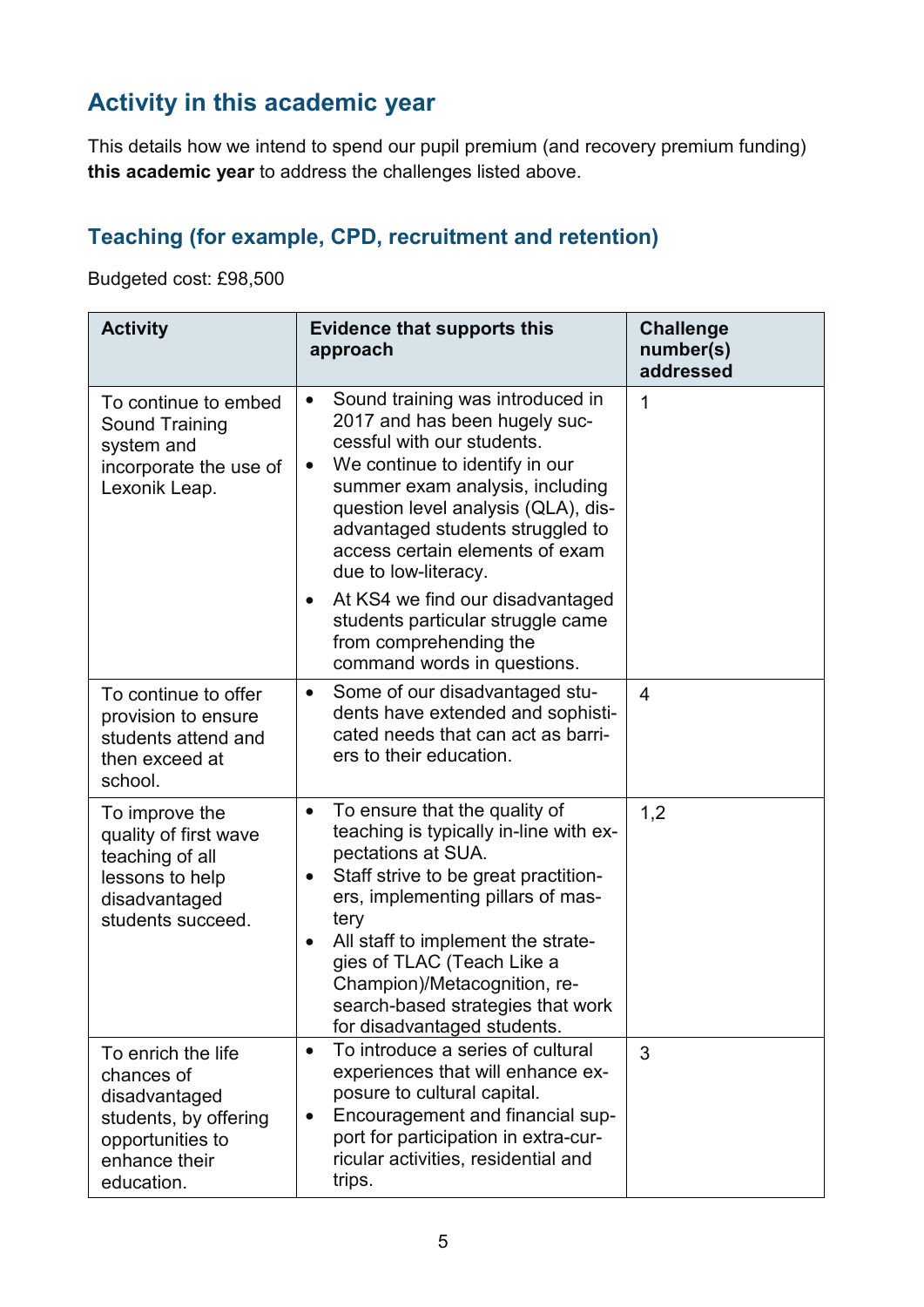## **Activity in this academic year**

This details how we intend to spend our pupil premium (and recovery premium funding) **this academic year** to address the challenges listed above.

#### **Teaching (for example, CPD, recruitment and retention)**

Budgeted cost: £98,500

| <b>Activity</b>                                                                                                               | <b>Evidence that supports this</b><br>approach                                                                                                                                                                                                                                                                                                                                                                                                                                      | <b>Challenge</b><br>number(s)<br>addressed |
|-------------------------------------------------------------------------------------------------------------------------------|-------------------------------------------------------------------------------------------------------------------------------------------------------------------------------------------------------------------------------------------------------------------------------------------------------------------------------------------------------------------------------------------------------------------------------------------------------------------------------------|--------------------------------------------|
| To continue to embed<br><b>Sound Training</b><br>system and<br>incorporate the use of<br>Lexonik Leap.                        | Sound training was introduced in<br>$\bullet$<br>2017 and has been hugely suc-<br>cessful with our students.<br>We continue to identify in our<br>$\bullet$<br>summer exam analysis, including<br>question level analysis (QLA), dis-<br>advantaged students struggled to<br>access certain elements of exam<br>due to low-literacy.<br>At KS4 we find our disadvantaged<br>$\bullet$<br>students particular struggle came<br>from comprehending the<br>command words in questions. | 1                                          |
| To continue to offer<br>provision to ensure<br>students attend and<br>then exceed at<br>school.                               | Some of our disadvantaged stu-<br>$\bullet$<br>dents have extended and sophisti-<br>cated needs that can act as barri-<br>ers to their education.                                                                                                                                                                                                                                                                                                                                   | $\overline{4}$                             |
| To improve the<br>quality of first wave<br>teaching of all<br>lessons to help<br>disadvantaged<br>students succeed.           | To ensure that the quality of<br>$\bullet$<br>teaching is typically in-line with ex-<br>pectations at SUA.<br>Staff strive to be great practition-<br>$\bullet$<br>ers, implementing pillars of mas-<br>tery<br>All staff to implement the strate-<br>$\bullet$<br>gies of TLAC (Teach Like a<br>Champion)/Metacognition, re-<br>search-based strategies that work<br>for disadvantaged students.                                                                                   | 1,2                                        |
| To enrich the life<br>chances of<br>disadvantaged<br>students, by offering<br>opportunities to<br>enhance their<br>education. | To introduce a series of cultural<br>$\bullet$<br>experiences that will enhance ex-<br>posure to cultural capital.<br>Encouragement and financial sup-<br>$\bullet$<br>port for participation in extra-cur-<br>ricular activities, residential and<br>trips.                                                                                                                                                                                                                        | 3                                          |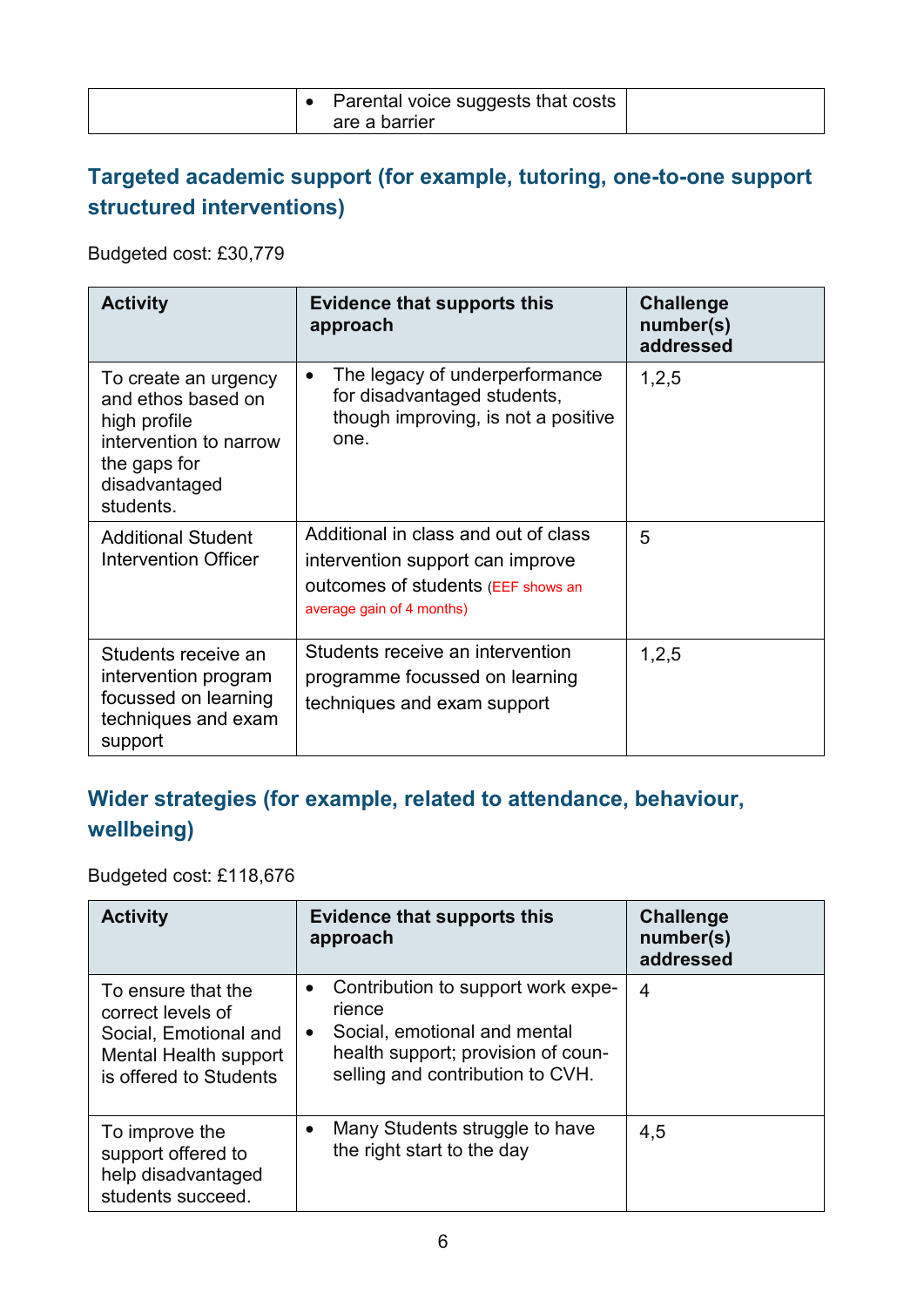|  | Parental voice suggests that costs |  |
|--|------------------------------------|--|
|  | are a barrier                      |  |

#### **Targeted academic support (for example, tutoring, one-to-one support structured interventions)**

Budgeted cost: £30,779

| <b>Activity</b>                                                                                                                    | <b>Evidence that supports this</b><br>approach                                                                                              | <b>Challenge</b><br>number(s)<br>addressed |
|------------------------------------------------------------------------------------------------------------------------------------|---------------------------------------------------------------------------------------------------------------------------------------------|--------------------------------------------|
| To create an urgency<br>and ethos based on<br>high profile<br>intervention to narrow<br>the gaps for<br>disadvantaged<br>students. | The legacy of underperformance<br>$\bullet$<br>for disadvantaged students,<br>though improving, is not a positive<br>one.                   | 1,2,5                                      |
| <b>Additional Student</b><br><b>Intervention Officer</b>                                                                           | Additional in class and out of class<br>intervention support can improve<br>outcomes of students (EEF shows an<br>average gain of 4 months) | 5                                          |
| Students receive an<br>intervention program<br>focussed on learning<br>techniques and exam<br>support                              | Students receive an intervention<br>programme focussed on learning<br>techniques and exam support                                           | 1,2,5                                      |

#### **Wider strategies (for example, related to attendance, behaviour, wellbeing)**

Budgeted cost: £118,676

| <b>Activity</b>                                                                                                     | <b>Evidence that supports this</b><br>approach                                                                                                                                   | <b>Challenge</b><br>number(s)<br>addressed |
|---------------------------------------------------------------------------------------------------------------------|----------------------------------------------------------------------------------------------------------------------------------------------------------------------------------|--------------------------------------------|
| To ensure that the<br>correct levels of<br>Social, Emotional and<br>Mental Health support<br>is offered to Students | Contribution to support work expe-<br>$\bullet$<br>rience<br>Social, emotional and mental<br>$\bullet$<br>health support; provision of coun-<br>selling and contribution to CVH. | 4                                          |
| To improve the<br>support offered to<br>help disadvantaged<br>students succeed.                                     | Many Students struggle to have<br>$\bullet$<br>the right start to the day                                                                                                        | 4,5                                        |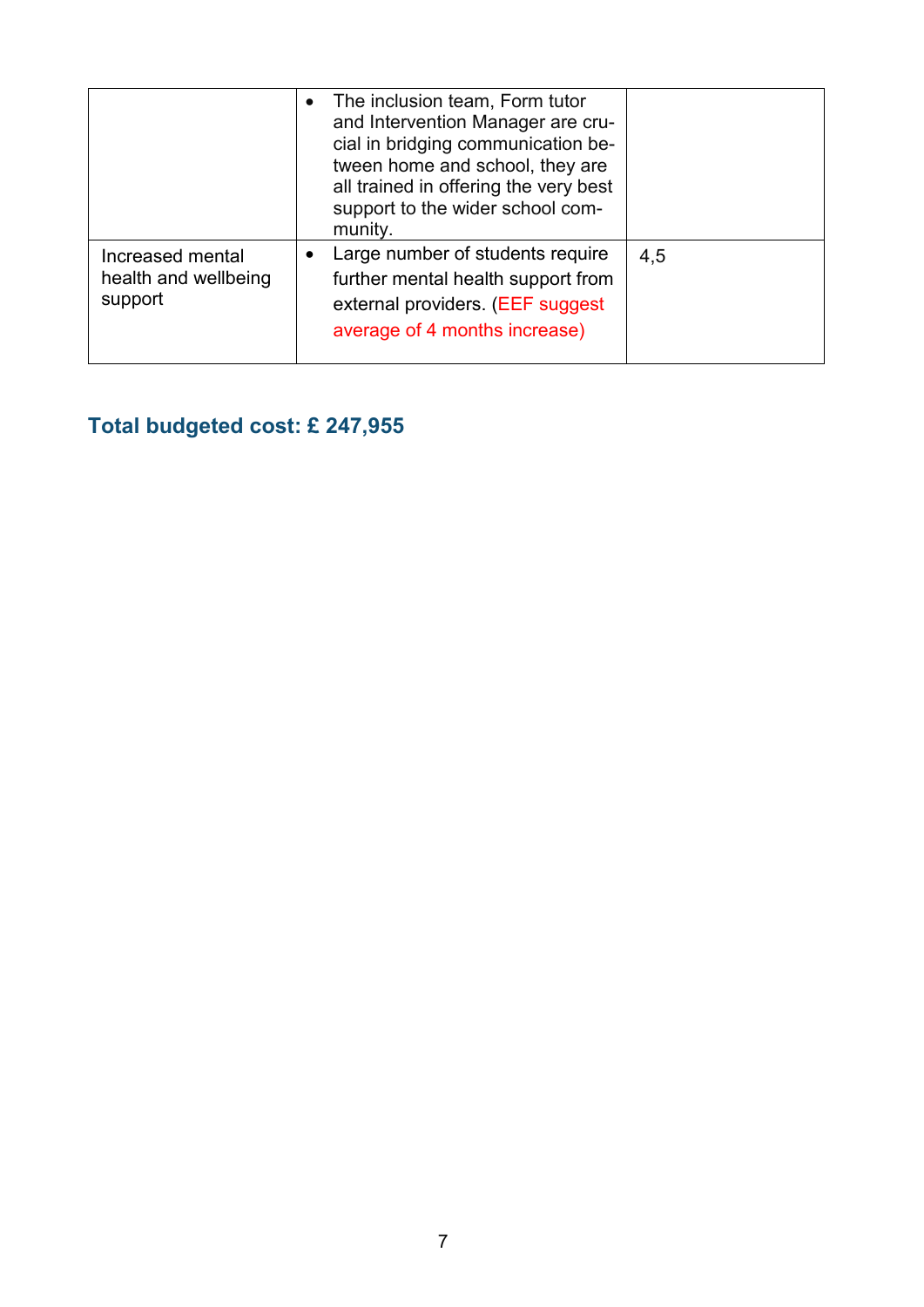|                                                     | The inclusion team, Form tutor<br>$\bullet$<br>and Intervention Manager are cru-<br>cial in bridging communication be-<br>tween home and school, they are<br>all trained in offering the very best<br>support to the wider school com-<br>munity. |     |
|-----------------------------------------------------|---------------------------------------------------------------------------------------------------------------------------------------------------------------------------------------------------------------------------------------------------|-----|
| Increased mental<br>health and wellbeing<br>support | Large number of students require<br>$\bullet$<br>further mental health support from<br>external providers. (EEF suggest<br>average of 4 months increase)                                                                                          | 4,5 |

**Total budgeted cost: £ 247,955**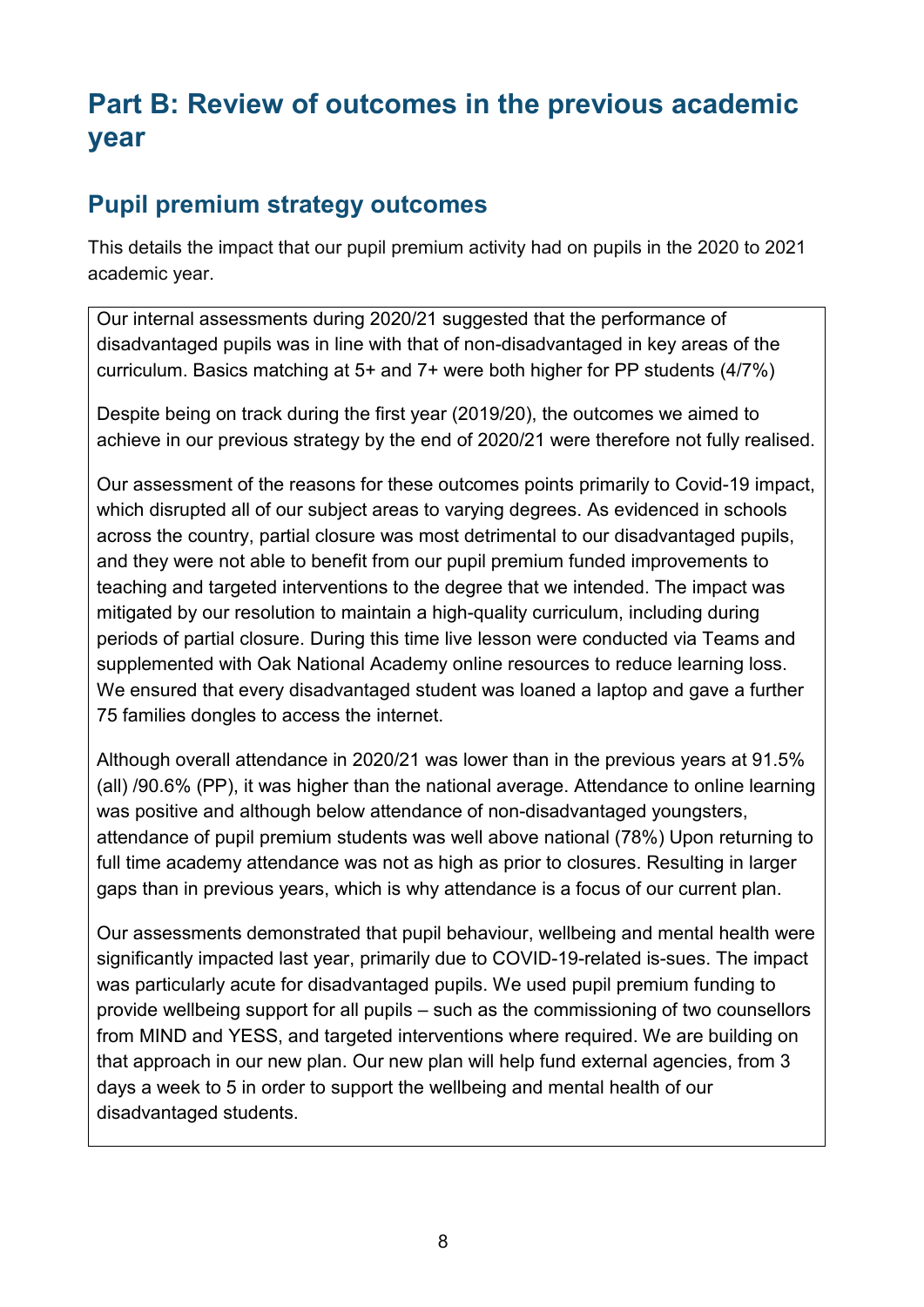# **Part B: Review of outcomes in the previous academic year**

#### **Pupil premium strategy outcomes**

This details the impact that our pupil premium activity had on pupils in the 2020 to 2021 academic year.

Our internal assessments during 2020/21 suggested that the performance of disadvantaged pupils was in line with that of non-disadvantaged in key areas of the curriculum. Basics matching at 5+ and 7+ were both higher for PP students (4/7%)

Despite being on track during the first year (2019/20), the outcomes we aimed to achieve in our previous strategy by the end of 2020/21 were therefore not fully realised.

Our assessment of the reasons for these outcomes points primarily to Covid-19 impact, which disrupted all of our subject areas to varying degrees. As evidenced in schools across the country, partial closure was most detrimental to our disadvantaged pupils, and they were not able to benefit from our pupil premium funded improvements to teaching and targeted interventions to the degree that we intended. The impact was mitigated by our resolution to maintain a high-quality curriculum, including during periods of partial closure. During this time live lesson were conducted via Teams and supplemented with Oak National Academy online resources to reduce learning loss. We ensured that every disadvantaged student was loaned a laptop and gave a further 75 families dongles to access the internet.

Although overall attendance in 2020/21 was lower than in the previous years at 91.5% (all) /90.6% (PP), it was higher than the national average. Attendance to online learning was positive and although below attendance of non-disadvantaged youngsters, attendance of pupil premium students was well above national (78%) Upon returning to full time academy attendance was not as high as prior to closures. Resulting in larger gaps than in previous years, which is why attendance is a focus of our current plan.

Our assessments demonstrated that pupil behaviour, wellbeing and mental health were significantly impacted last year, primarily due to COVID-19-related is-sues. The impact was particularly acute for disadvantaged pupils. We used pupil premium funding to provide wellbeing support for all pupils – such as the commissioning of two counsellors from MIND and YESS, and targeted interventions where required. We are building on that approach in our new plan. Our new plan will help fund external agencies, from 3 days a week to 5 in order to support the wellbeing and mental health of our disadvantaged students.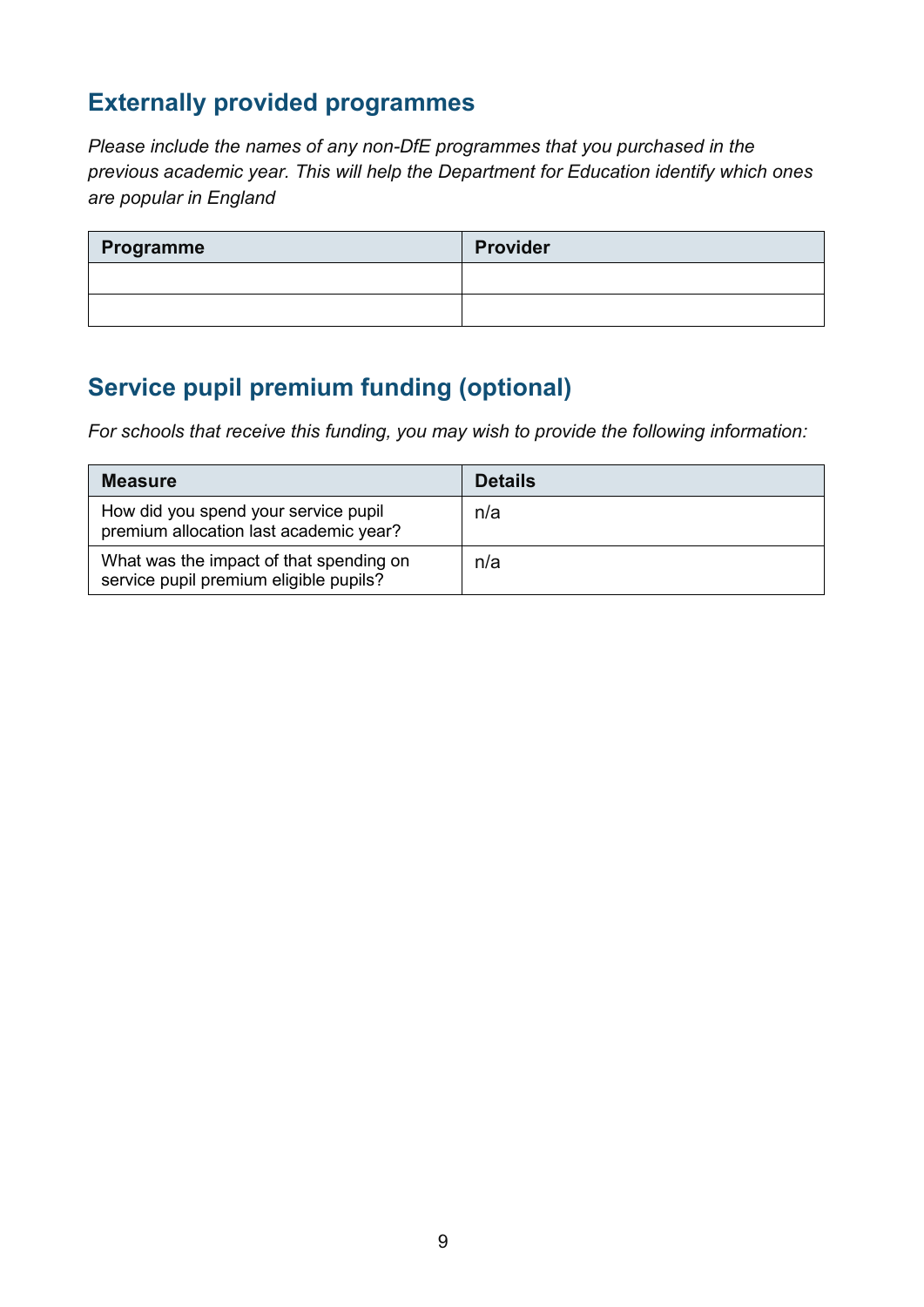### **Externally provided programmes**

*Please include the names of any non-DfE programmes that you purchased in the previous academic year. This will help the Department for Education identify which ones are popular in England*

| Programme | <b>Provider</b> |
|-----------|-----------------|
|           |                 |
|           |                 |

### **Service pupil premium funding (optional)**

*For schools that receive this funding, you may wish to provide the following information:* 

| <b>Measure</b>                                                                    | <b>Details</b> |
|-----------------------------------------------------------------------------------|----------------|
| How did you spend your service pupil<br>premium allocation last academic year?    | n/a            |
| What was the impact of that spending on<br>service pupil premium eligible pupils? | n/a            |